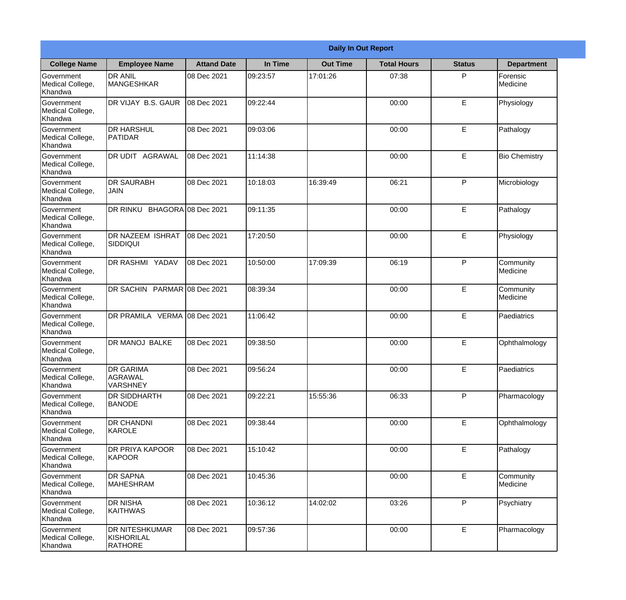|                                           | <b>Daily In Out Report</b>                     |                     |          |                 |                    |               |                       |  |
|-------------------------------------------|------------------------------------------------|---------------------|----------|-----------------|--------------------|---------------|-----------------------|--|
| <b>College Name</b>                       | <b>Employee Name</b>                           | <b>Attand Date</b>  | In Time  | <b>Out Time</b> | <b>Total Hours</b> | <b>Status</b> | <b>Department</b>     |  |
| Government<br>Medical College,<br>Khandwa | <b>DR ANIL</b><br><b>MANGESHKAR</b>            | 08 Dec 2021         | 09:23:57 | 17:01:26        | 07:38              | P             | Forensic<br>Medicine  |  |
| Government<br>Medical College,<br>Khandwa | DR VIJAY B.S. GAUR                             | 08 Dec 2021         | 09:22:44 |                 | 00:00              | E             | Physiology            |  |
| Government<br>Medical College,<br>Khandwa | <b>DR HARSHUL</b><br>PATIDAR                   | 08 Dec 2021         | 09:03:06 |                 | 00:00              | E             | Pathalogy             |  |
| Government<br>Medical College,<br>Khandwa | DR UDIT AGRAWAL                                | 08 Dec 2021         | 11:14:38 |                 | 00:00              | E             | <b>Bio Chemistry</b>  |  |
| Government<br>Medical College,<br>Khandwa | <b>DR SAURABH</b><br>JAIN                      | 08 Dec 2021         | 10:18:03 | 16:39:49        | 06:21              | P             | Microbiology          |  |
| Government<br>Medical College,<br>Khandwa | DR RINKU                                       | BHAGORA 08 Dec 2021 | 09:11:35 |                 | 00:00              | E             | Pathalogy             |  |
| Government<br>Medical College,<br>Khandwa | <b>DR NAZEEM ISHRAT</b><br><b>SIDDIQUI</b>     | 08 Dec 2021         | 17:20:50 |                 | 00:00              | E             | Physiology            |  |
| Government<br>Medical College,<br>Khandwa | <b>DR RASHMI YADAV</b>                         | 08 Dec 2021         | 10:50:00 | 17:09:39        | 06:19              | P             | Community<br>Medicine |  |
| Government<br>Medical College,<br>Khandwa | DR SACHIN PARMAR 08 Dec 2021                   |                     | 08:39:34 |                 | 00:00              | E             | Community<br>Medicine |  |
| Government<br>Medical College,<br>Khandwa | DR PRAMILA VERMA 08 Dec 2021                   |                     | 11:06:42 |                 | 00:00              | E             | Paediatrics           |  |
| Government<br>Medical College,<br>Khandwa | DR MANOJ BALKE                                 | 08 Dec 2021         | 09:38:50 |                 | 00:00              | E             | Ophthalmology         |  |
| Government<br>Medical College,<br>Khandwa | <b>DR GARIMA</b><br>AGRAWAL<br><b>VARSHNEY</b> | 08 Dec 2021         | 09:56:24 |                 | 00:00              | E.            | Paediatrics           |  |
| Government<br>Medical College,<br>Khandwa | DR SIDDHARTH<br><b>BANODE</b>                  | 08 Dec 2021         | 09:22:21 | 15:55:36        | 06:33              | P             | Pharmacology          |  |
| Government<br>Medical College,<br>Khandwa | DR CHANDNI<br>KAROLE                           | 08 Dec 2021         | 09:38:44 |                 | 00:00              | E             | Ophthalmology         |  |
| Government<br>Medical College,<br>Khandwa | DR PRIYA KAPOOR<br>KAPOOR                      | 08 Dec 2021         | 15:10:42 |                 | 00:00              | E             | Pathalogy             |  |
| Government<br>Medical College,<br>Khandwa | <b>DR SAPNA</b><br><b>MAHESHRAM</b>            | 08 Dec 2021         | 10:45:36 |                 | 00:00              | E             | Community<br>Medicine |  |
| Government<br>Medical College,<br>Khandwa | DR NISHA<br><b>KAITHWAS</b>                    | 08 Dec 2021         | 10:36:12 | 14:02:02        | 03:26              | P             | Psychiatry            |  |
| Government<br>Medical College,<br>Khandwa | DR NITESHKUMAR<br>KISHORILAL<br><b>RATHORE</b> | 08 Dec 2021         | 09:57:36 |                 | 00:00              | E             | Pharmacology          |  |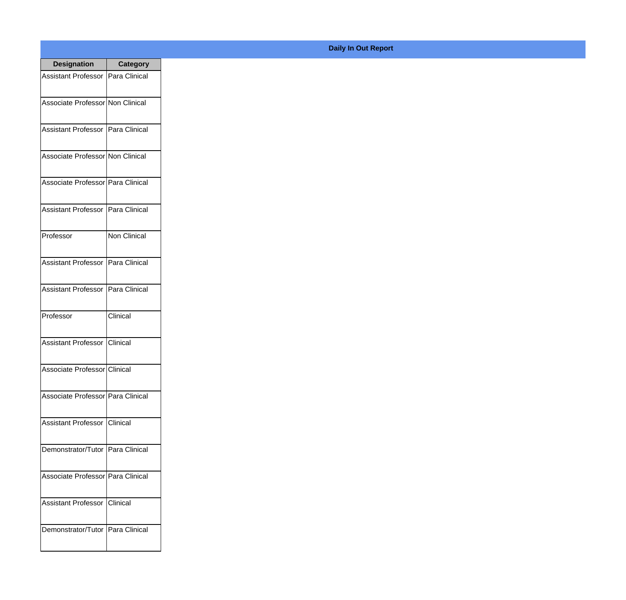| <b>Designation</b>                  | <b>Category</b>     |
|-------------------------------------|---------------------|
| Assistant Professor   Para Clinical |                     |
| Associate Professor Non Clinical    |                     |
| Assistant Professor   Para Clinical |                     |
| Associate Professor Non Clinical    |                     |
| Associate Professor Para Clinical   |                     |
| Assistant Professor   Para Clinical |                     |
| Professor                           | <b>Non Clinical</b> |
| Assistant Professor   Para Clinical |                     |
| Assistant Professor   Para Clinical |                     |
| Professor                           | Clinical            |
| Assistant Professor                 | Clinical            |
| Associate Professor Clinical        |                     |
| Associate Professor   Para Clinical |                     |
| Assistant Professor   Clinical      |                     |
| Demonstrator/Tutor   Para Clinical  |                     |
| Associate Professor Para Clinical   |                     |
| <b>Assistant Professor</b>          | <b>Clinical</b>     |
| Demonstrator/Tutor   Para Clinical  |                     |

## **Daily In Out Report**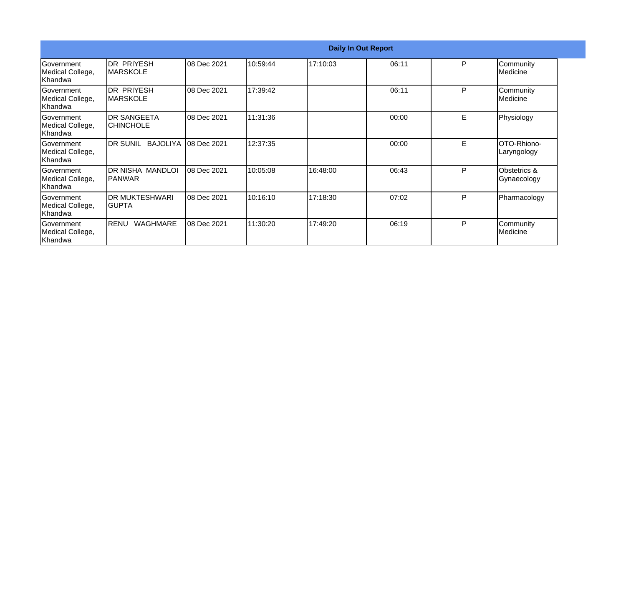|                                                   |                                        |              |          |          | <b>Daily In Out Report</b> |   |                                        |
|---------------------------------------------------|----------------------------------------|--------------|----------|----------|----------------------------|---|----------------------------------------|
| Government<br>Medical College,<br>Khandwa         | <b>DR PRIYESH</b><br><b>IMARSKOLE</b>  | 08 Dec 2021  | 10:59:44 | 17:10:03 | 06:11                      | P | Community<br>Medicine                  |
| Government<br>Medical College,<br>Khandwa         | <b>DR PRIYESH</b><br><b>IMARSKOLE</b>  | 08 Dec 2021  | 17:39:42 |          | 06:11                      | P | Community<br>Medicine                  |
| Government<br>Medical College,<br>Khandwa         | <b>DR SANGEETA</b><br><b>CHINCHOLE</b> | 08 Dec 2021  | 11:31:36 |          | 00:00                      | E | Physiology                             |
| Government<br>Medical College,<br>Khandwa         | DR SUNIL<br>BAJOLIYA                   | 08 Dec 2021  | 12:37:35 |          | 00:00                      | E | OTO-Rhiono-<br>Laryngology             |
| Government<br>Medical College,<br>Khandwa         | DR NISHA MANDLOI<br> PANWAR            | 08 Dec 2021  | 10:05:08 | 16:48:00 | 06:43                      | P | <b>Obstetrics &amp;</b><br>Gynaecology |
| Government<br>Medical College,<br>Khandwa         | <b>DR MUKTESHWARI</b><br>IGUPTA        | 08 Dec 2021  | 10:16:10 | 17:18:30 | 07:02                      | P | Pharmacology                           |
| <b>IGovernment</b><br>Medical College,<br>Khandwa | WAGHMARE<br>RENU                       | 108 Dec 2021 | 11:30:20 | 17:49:20 | 06:19                      | P | Community<br>Medicine                  |